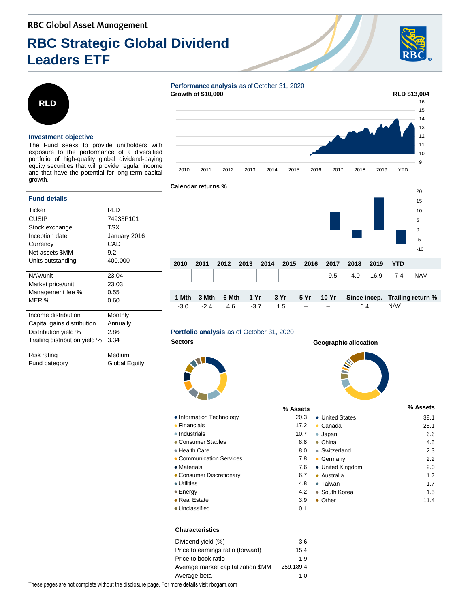# **RBC Strategic Global Dividend Leaders ETF**





### **Investment objective**

The Fund seeks to provide unitholders with exposure to the performance of a diversified portfolio of high-quality global dividend-paying equity securities that will provide regular income and that have the potential for long-term capital growth.

## **Fund details**

| Ticker                        | RLD          |
|-------------------------------|--------------|
| CUSIP                         | 74933P101    |
| Stock exchange                | TSX          |
| Inception date                | January 2016 |
| Currency                      | CAD          |
| Net assets \$MM               | 9.2          |
| Units outstanding             | 400,000      |
|                               |              |
| NAV/unit                      | 23.04        |
| Market price/unit             | 23.03        |
| Management fee %              | 0.55         |
| MER %                         | 0.60         |
|                               |              |
| Income distribution           | Monthly      |
| Capital gains distribution    | Annually     |
| Distribution yield %          | 2.86         |
| Trailing distribution yield % | 3.34         |
|                               |              |
| Risk rating                   | Medium       |

Fund category **Global Equity** 





# **Calendar returns %**



### **Portfolio analysis** as of October 31, 2020



- Information Technology 20.322
- Financials 17.2
- Industrials 10.7 and 10.7 and 10.7 and 10.7 and 10.7 and 10.7 and 10.7 and 10.7 and 10.7 and 10.7 and 10.7 and 10.7 and 10.7 and 10.7 and 10.7 and 10.7 and 10.7 and 10.7 and 10.7 and 10.7 and 10.7 and 10.7 and 10.7 and
- Consumer Staples 8.8
- Health Care 8.000 8.000 8.000 8.000 8.000 8.000 8.000 8.000 8.000 8.000 8.000 8.000 8.000 8.000 8.000 8.000 8.000 8.000 8.000 8.000 8.000 8.000 8.000 8.000 8.000 8.000 8.000 8.000 8.000 8.000 8.000 8.000 8.000 8.000 8.0
- Communication Services 7.88
- Materials
- Consumer Discretionary **6.77 (1998)** 6.77 (1998)
- Utilities
- Energy 4.22 and 4.22 and 4.22 and 4.22 and 4.22 and 4.22 and 4.22 and 4.22 and 4.22 and 4.22 and 4.22 and 4.22 and 4.22 and 4.22 and 4.22 and 4.22 and 4.22 and 4.22 and 4.22 and 4.22 and 4.22 and 4.22 and 4.22 and 4.22
- Real Estate 3.99 • Unclassified 0.1 and 0.1 and 0.1 and 0.1 and 0.1 and 0.1 and 0.1 and 0.1 and 0.1 and 0.1 and 0.1 and 0.1 and 0.1 and 0.1 and 0.1 and 0.1 and 0.1 and 0.1 and 0.1 and 0.1 and 0.1 and 0.1 and 0.1 and 0.1 and 0.1 and 0.1 and

# **Characteristics**

| Dividend yield (%)                 | 3.6       |
|------------------------------------|-----------|
| Price to earnings ratio (forward)  | 15.4      |
| Price to book ratio                | 1.9       |
| Average market capitalization \$MM | 259.189.4 |
| Average beta                       | 1.0       |

# **Sectors Geographic allocation**

| % Assets |                      | % Assets |
|----------|----------------------|----------|
| 20.3     | • United States      | 38.1     |
| 17.2     | Canada               | 28.1     |
| 10.7     | Japan                | 6.6      |
| 8.8      | China                | 4.5      |
| 8.0      | • Switzerland        | 2.3      |
| 7.8      | Germany<br>$\bullet$ | 2.2      |
| 7.6      | • United Kingdom     | 2.0      |
| 6.7      | Australia            | 1.7      |
| 4.8      | $\bullet$ Taiwan     | 1.7      |
| 4.2      | • South Korea        | 1.5      |
| 3.9      | Other                | 11.4     |
| 0.1      |                      |          |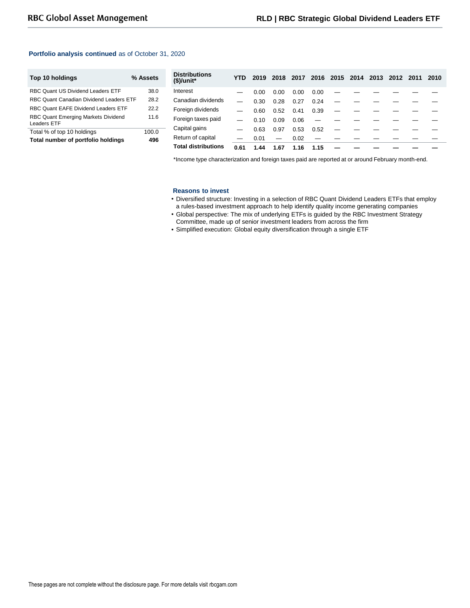# **Portfolio analysis continued** as of October 31, 2020

| Top 10 holdings                                           | % Assets |
|-----------------------------------------------------------|----------|
| RBC Quant US Dividend Leaders ETF                         | 38.0     |
| RBC Quant Canadian Dividend Leaders ETF                   | 28.2     |
| RBC Quant EAFE Dividend Leaders ETF                       | 22 2     |
| <b>RBC Quant Emerging Markets Dividend</b><br>Leaders FTF | 116      |
| Total % of top 10 holdings                                | 100.0    |
| Total number of portfolio holdings                        | 496      |

| <b>Distributions</b><br>$$$ /unit* | YTD  | 2019 | 2018                     | 2017 |      | 2016 2015 2014 | 2013 | 2012 2011 | 2010 |
|------------------------------------|------|------|--------------------------|------|------|----------------|------|-----------|------|
| Interest                           |      | 0.00 | 0.00                     | 0.00 | 0.00 |                |      |           |      |
| Canadian dividends                 |      | 0.30 | 0.28                     | 0.27 | 0.24 |                |      |           |      |
| Foreign dividends                  |      | 0.60 | 0.52                     | 0.41 | 0.39 |                |      |           |      |
| Foreign taxes paid                 |      | 0.10 | 0.09                     | 0.06 |      |                |      |           |      |
| Capital gains                      |      | 0.63 | 0.97                     | 0.53 | 0.52 |                |      |           |      |
| Return of capital                  |      | 0.01 | $\overline{\phantom{0}}$ | 0.02 |      |                |      |           |      |
| <b>Total distributions</b>         | 0.61 | 1.44 | 1.67                     | 1.16 | 1.15 |                |      |           |      |

\*Income type characterization and foreign taxes paid are reported at or around February month-end.

#### **Reasons to invest**

- Diversified structure: Investing in a selection of RBC Quant Dividend Leaders ETFs that employ a rules-based investment approach to help identify quality income generating companies
- Global perspective: The mix of underlying ETFs is guided by the RBC Investment Strategy Committee, made up of senior investment leaders from across the firm
- Simplified execution: Global equity diversification through a single ETF